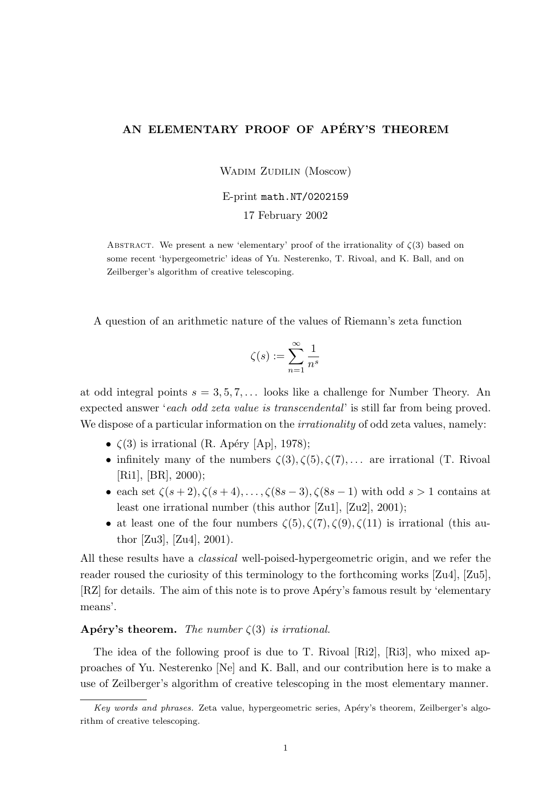# AN ELEMENTARY PROOF OF APÉRY'S THEOREM

WADIM ZUDILIN (Moscow)

E-print math.NT/0202159

17 February 2002

ABSTRACT. We present a new 'elementary' proof of the irrationality of  $\zeta(3)$  based on some recent 'hypergeometric' ideas of Yu. Nesterenko, T. Rivoal, and K. Ball, and on Zeilberger's algorithm of creative telescoping.

A question of an arithmetic nature of the values of Riemann's zeta function

$$
\zeta(s):=\sum_{n=1}^\infty\frac{1}{n^s}
$$

at odd integral points  $s = 3, 5, 7, \ldots$  looks like a challenge for Number Theory. An expected answer 'each odd zeta value is transcendental' is still far from being proved. We dispose of a particular information on the *irrationality* of odd zeta values, namely:

- $\zeta(3)$  is irrational (R. Apéry [Ap], 1978);
- infinitely many of the numbers  $\zeta(3), \zeta(5), \zeta(7), \ldots$  are irrational (T. Rivoal [Ri1], [BR], 2000);
- each set  $\zeta(s+2), \zeta(s+4), \ldots, \zeta(8s-3), \zeta(8s-1)$  with odd  $s > 1$  contains at least one irrational number (this author [Zu1], [Zu2], 2001);
- at least one of the four numbers  $\zeta(5), \zeta(7), \zeta(9), \zeta(11)$  is irrational (this author [Zu3], [Zu4], 2001).

All these results have a classical well-poised-hypergeometric origin, and we refer the reader roused the curiosity of this terminology to the forthcoming works [Zu4], [Zu5], [RZ] for details. The aim of this note is to prove Apéry's famous result by 'elementary means'.

## Apéry's theorem. The number  $\zeta(3)$  is irrational.

The idea of the following proof is due to T. Rivoal [Ri2], [Ri3], who mixed approaches of Yu. Nesterenko [Ne] and K. Ball, and our contribution here is to make a use of Zeilberger's algorithm of creative telescoping in the most elementary manner.

Key words and phrases. Zeta value, hypergeometric series, Apéry's theorem, Zeilberger's algorithm of creative telescoping.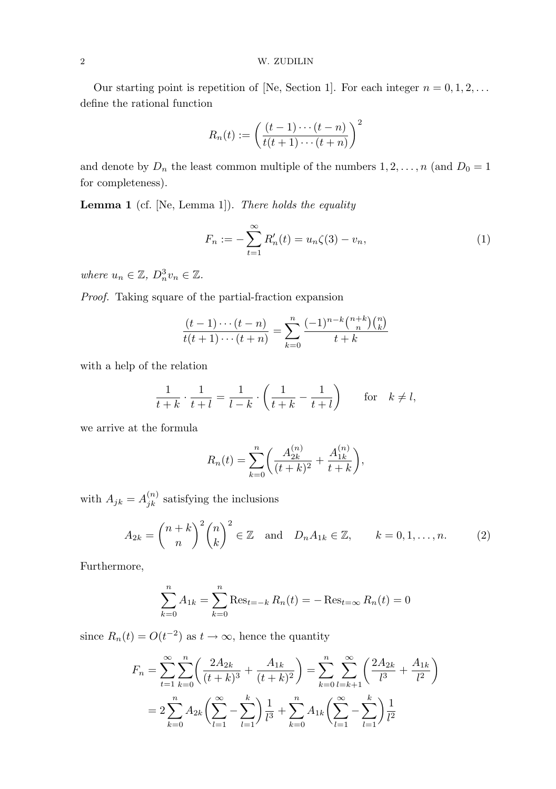### 2 W. ZUDILIN

Our starting point is repetition of [Ne, Section 1]. For each integer  $n = 0, 1, 2, \ldots$ define the rational function

$$
R_n(t) := \left(\frac{(t-1)\cdots(t-n)}{t(t+1)\cdots(t+n)}\right)^2
$$

and denote by  $D_n$  the least common multiple of the numbers  $1, 2, ..., n$  (and  $D_0 = 1$ ) for completeness).

Lemma 1 (cf. [Ne, Lemma 1]). There holds the equality

$$
F_n := -\sum_{t=1}^{\infty} R'_n(t) = u_n \zeta(3) - v_n,
$$
\n(1)

where  $u_n \in \mathbb{Z}, D_n^3 v_n \in \mathbb{Z}$ .

Proof. Taking square of the partial-fraction expansion

$$
\frac{(t-1)\cdots(t-n)}{t(t+1)\cdots(t+n)} = \sum_{k=0}^{n} \frac{(-1)^{n-k} \binom{n+k}{n} \binom{n}{k}}{t+k}
$$

with a help of the relation

$$
\frac{1}{t+k} \cdot \frac{1}{t+l} = \frac{1}{l-k} \cdot \left(\frac{1}{t+k} - \frac{1}{t+l}\right) \quad \text{for} \quad k \neq l,
$$

we arrive at the formula

$$
R_n(t) = \sum_{k=0}^n \left( \frac{A_{2k}^{(n)}}{(t+k)^2} + \frac{A_{1k}^{(n)}}{t+k} \right),
$$

with  $A_{jk} = A_{jk}^{(n)}$  satisfying the inclusions

$$
A_{2k} = {n+k \choose n}^2 {n \choose k}^2 \in \mathbb{Z} \text{ and } D_n A_{1k} \in \mathbb{Z}, \qquad k = 0, 1, \dots, n. \tag{2}
$$

Furthermore,

$$
\sum_{k=0}^{n} A_{1k} = \sum_{k=0}^{n} \text{Res}_{t=-k} R_n(t) = -\text{Res}_{t=\infty} R_n(t) = 0
$$

since  $R_n(t) = O(t^{-2})$  as  $t \to \infty$ , hence the quantity

$$
F_n = \sum_{t=1}^{\infty} \sum_{k=0}^{n} \left( \frac{2A_{2k}}{(t+k)^3} + \frac{A_{1k}}{(t+k)^2} \right) = \sum_{k=0}^{n} \sum_{l=k+1}^{\infty} \left( \frac{2A_{2k}}{l^3} + \frac{A_{1k}}{l^2} \right)
$$

$$
= 2 \sum_{k=0}^{n} A_{2k} \left( \sum_{l=1}^{\infty} - \sum_{l=1}^{k} \right) \frac{1}{l^3} + \sum_{k=0}^{n} A_{1k} \left( \sum_{l=1}^{\infty} - \sum_{l=1}^{k} \right) \frac{1}{l^2}
$$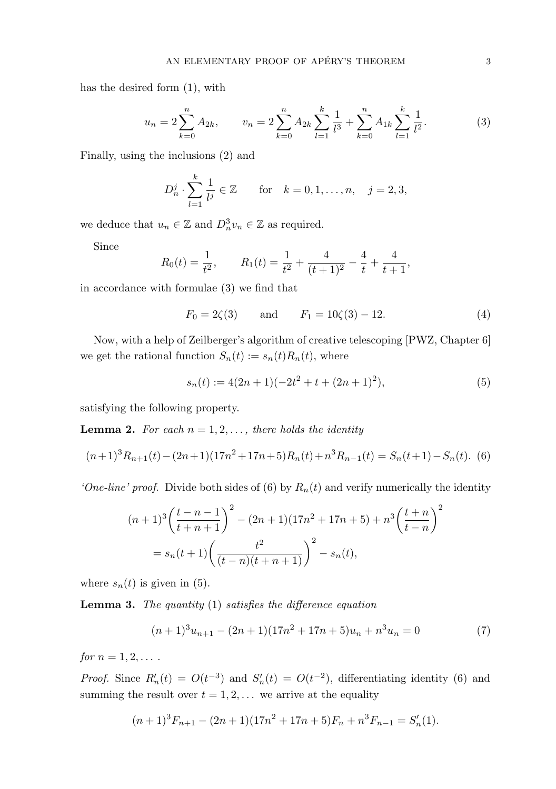has the desired form (1), with

$$
u_n = 2\sum_{k=0}^n A_{2k}, \qquad v_n = 2\sum_{k=0}^n A_{2k} \sum_{l=1}^k \frac{1}{l^3} + \sum_{k=0}^n A_{1k} \sum_{l=1}^k \frac{1}{l^2}.
$$
 (3)

Finally, using the inclusions (2) and

$$
D_n^j \cdot \sum_{l=1}^k \frac{1}{l^j} \in \mathbb{Z}
$$
 for  $k = 0, 1, ..., n, j = 2, 3,$ 

we deduce that  $u_n \in \mathbb{Z}$  and  $D_n^3 v_n \in \mathbb{Z}$  as required.

Since

$$
R_0(t) = \frac{1}{t^2}
$$
,  $R_1(t) = \frac{1}{t^2} + \frac{4}{(t+1)^2} - \frac{4}{t} + \frac{4}{t+1}$ ,

in accordance with formulae (3) we find that

$$
F_0 = 2\zeta(3)
$$
 and  $F_1 = 10\zeta(3) - 12.$  (4)

Now, with a help of Zeilberger's algorithm of creative telescoping [PWZ, Chapter 6] we get the rational function  $S_n(t) := s_n(t)R_n(t)$ , where

$$
s_n(t) := 4(2n+1)(-2t^2+t+(2n+1)^2),
$$
\n(5)

satisfying the following property.

**Lemma 2.** For each  $n = 1, 2, \ldots$ , there holds the identity

$$
(n+1)^3 R_{n+1}(t) - (2n+1)(17n^2 + 17n + 5)R_n(t) + n^3 R_{n-1}(t) = S_n(t+1) - S_n(t).
$$
 (6)

'One-line' proof. Divide both sides of (6) by  $R_n(t)$  and verify numerically the identity

$$
(n+1)^3 \left(\frac{t-n-1}{t+n+1}\right)^2 - (2n+1)(17n^2+17n+5) + n^3 \left(\frac{t+n}{t-n}\right)^2
$$
  
=  $s_n(t+1) \left(\frac{t^2}{(t-n)(t+n+1)}\right)^2 - s_n(t),$ 

where  $s_n(t)$  is given in (5).

**Lemma 3.** The quantity  $(1)$  satisfies the difference equation

$$
(n+1)3un+1 - (2n+1)(17n2 + 17n + 5)un + n3un = 0
$$
 (7)

for  $n = 1, 2, \ldots$ .

*Proof.* Since  $R'_n(t) = O(t^{-3})$  and  $S'_n$  $n'_n(t) = O(t^{-2})$ , differentiating identity (6) and summing the result over  $t = 1, 2, \ldots$  we arrive at the equality

$$
(n+1)3Fn+1 - (2n+1)(17n2 + 17n + 5)Fn + n3Fn-1 = S'n(1).
$$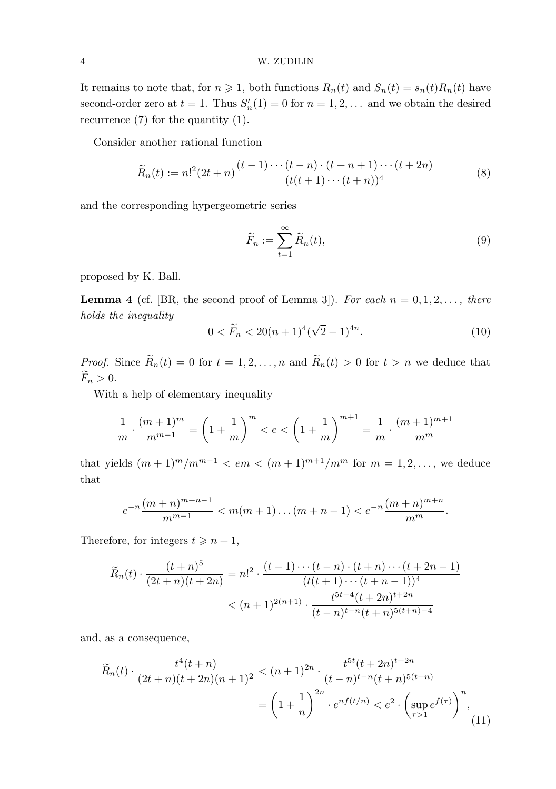## 4 W. ZUDILIN

It remains to note that, for  $n \geq 1$ , both functions  $R_n(t)$  and  $S_n(t) = s_n(t)R_n(t)$  have second-order zero at  $t = 1$ . Thus  $S'_r$  $n'_n(1) = 0$  for  $n = 1, 2, \ldots$  and we obtain the desired recurrence  $(7)$  for the quantity  $(1)$ .

Consider another rational function

$$
\widetilde{R}_n(t) := n!^2 (2t+n) \frac{(t-1)\cdots(t-n) \cdot (t+n+1)\cdots(t+2n)}{(t(t+1)\cdots(t+n))^4}
$$
\n(8)

and the corresponding hypergeometric series

$$
\widetilde{F}_n := \sum_{t=1}^{\infty} \widetilde{R}_n(t),\tag{9}
$$

proposed by K. Ball.

**Lemma 4** (cf. [BR, the second proof of Lemma 3]). For each  $n = 0, 1, 2, \ldots$ , there holds the inequality

$$
0 < \widetilde{F}_n < 20(n+1)^4(\sqrt{2}-1)^{4n}.\tag{10}
$$

*Proof.* Since  $\widetilde{R}_n(t) = 0$  for  $t = 1, 2, ..., n$  and  $\widetilde{R}_n(t) > 0$  for  $t > n$  we deduce that  $\widetilde{F}_n > 0.$ 

With a help of elementary inequality

$$
\frac{1}{m} \cdot \frac{(m+1)^m}{m^{m-1}} = \left(1 + \frac{1}{m}\right)^m < e < \left(1 + \frac{1}{m}\right)^{m+1} = \frac{1}{m} \cdot \frac{(m+1)^{m+1}}{m^m}
$$

that yields  $(m + 1)^m/m^{m-1} < em < (m + 1)^{m+1}/m^m$  for  $m = 1, 2, ...,$  we deduce that

$$
e^{-n}\frac{(m+n)^{m+n-1}}{m^{m-1}} < m(m+1)\dots(m+n-1) < e^{-n}\frac{(m+n)^{m+n}}{m^m}.
$$

Therefore, for integers  $t \geq n+1$ ,

$$
\widetilde{R}_n(t) \cdot \frac{(t+n)^5}{(2t+n)(t+2n)} = n!^2 \cdot \frac{(t-1)\cdots(t-n) \cdot (t+n) \cdots (t+2n-1)}{(t(t+1)\cdots(t+n-1))^4}
$$
\n
$$
< (n+1)^{2(n+1)} \cdot \frac{t^{5t-4}(t+2n)^{t+2n}}{(t-n)^{t-n}(t+n)^{5(t+n)-4}}
$$

and, as a consequence,

$$
\widetilde{R}_n(t) \cdot \frac{t^4(t+n)}{(2t+n)(t+2n)(n+1)^2} < (n+1)^{2n} \cdot \frac{t^{5t}(t+2n)^{t+2n}}{(t-n)^{t-n}(t+n)^{5(t+n)}} \\
= \left(1 + \frac{1}{n}\right)^{2n} \cdot e^{nf(t/n)} < e^2 \cdot \left(\sup_{\tau > 1} e^{f(\tau)}\right)^n,\tag{11}
$$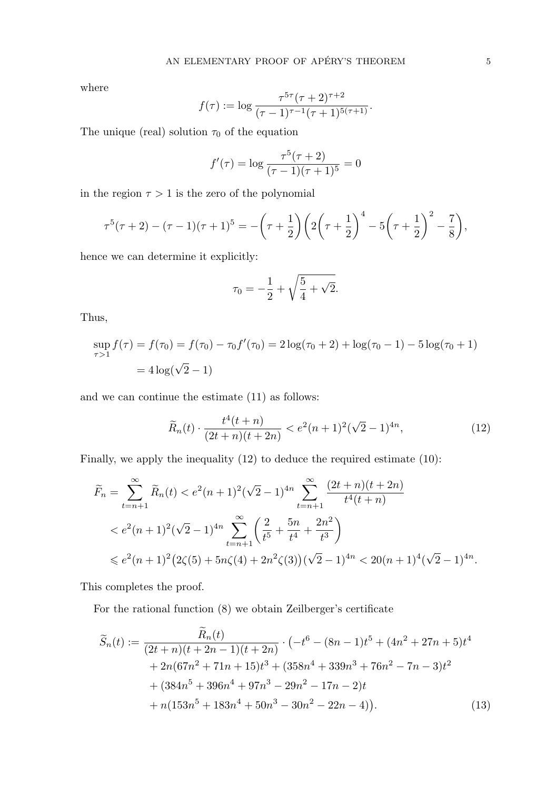where

$$
f(\tau) := \log \frac{\tau^{5\tau}(\tau+2)^{\tau+2}}{(\tau-1)^{\tau-1}(\tau+1)^{5(\tau+1)}}.
$$

The unique (real) solution  $\tau_0$  of the equation

$$
f'(\tau) = \log \frac{\tau^5(\tau + 2)}{(\tau - 1)(\tau + 1)^5} = 0
$$

in the region  $\tau > 1$  is the zero of the polynomial

$$
\tau^5(\tau+2)-(\tau-1)(\tau+1)^5=-\left(\tau+\frac{1}{2}\right)\left(2\left(\tau+\frac{1}{2}\right)^4-5\left(\tau+\frac{1}{2}\right)^2-\frac{7}{8}\right),
$$

hence we can determine it explicitly:

$$
\tau_0 = -\frac{1}{2} + \sqrt{\frac{5}{4} + \sqrt{2}}.
$$

Thus,

$$
\sup_{\tau>1} f(\tau) = f(\tau_0) = f(\tau_0) - \tau_0 f'(\tau_0) = 2 \log(\tau_0 + 2) + \log(\tau_0 - 1) - 5 \log(\tau_0 + 1)
$$

$$
= 4 \log(\sqrt{2} - 1)
$$

and we can continue the estimate (11) as follows:

$$
\widetilde{R}_n(t) \cdot \frac{t^4(t+n)}{(2t+n)(t+2n)} < e^2(n+1)^2(\sqrt{2}-1)^{4n},\tag{12}
$$

Finally, we apply the inequality (12) to deduce the required estimate (10):

$$
\widetilde{F}_n = \sum_{t=n+1}^{\infty} \widetilde{R}_n(t) < e^2(n+1)^2(\sqrt{2}-1)^{4n} \sum_{t=n+1}^{\infty} \frac{(2t+n)(t+2n)}{t^4(t+n)}
$$
\n
$$
\langle e^2(n+1)^2(\sqrt{2}-1)^{4n} \sum_{t=n+1}^{\infty} \left(\frac{2}{t^5} + \frac{5n}{t^4} + \frac{2n^2}{t^3}\right)
$$
\n
$$
\leq e^2(n+1)^2 \left(2\zeta(5) + 5n\zeta(4) + 2n^2\zeta(3)\right)(\sqrt{2}-1)^{4n} < 20(n+1)^4(\sqrt{2}-1)^{4n}.
$$

This completes the proof.

For the rational function (8) we obtain Zeilberger's certificate

$$
\widetilde{S}_n(t) := \frac{\widetilde{R}_n(t)}{(2t+n)(t+2n-1)(t+2n)} \cdot \left(-t^6 - (8n-1)t^5 + (4n^2+27n+5)t^4\right.\n+ 2n(67n^2+71n+15)t^3 + (358n^4+339n^3+76n^2-7n-3)t^2\n+ (384n^5+396n^4+97n^3-29n^2-17n-2)t\n+ n(153n^5+183n^4+50n^3-30n^2-22n-4)\right).
$$
\n(13)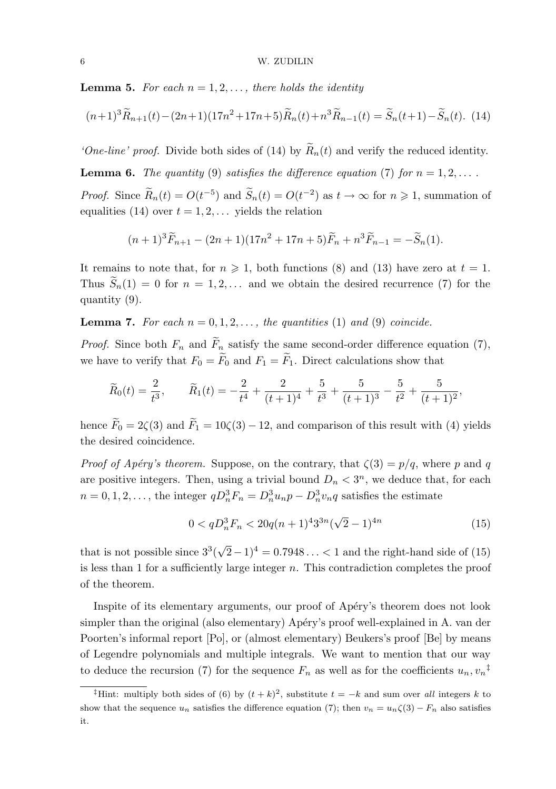**Lemma 5.** For each  $n = 1, 2, \ldots$ , there holds the identity

$$
(n+1)^{3}\widetilde{R}_{n+1}(t) - (2n+1)(17n^{2} + 17n + 5)\widetilde{R}_{n}(t) + n^{3}\widetilde{R}_{n-1}(t) = \widetilde{S}_{n}(t+1) - \widetilde{S}_{n}(t). \tag{14}
$$

'One-line' proof. Divide both sides of (14) by  $\widetilde{R}_n(t)$  and verify the reduced identity.

**Lemma 6.** The quantity (9) satisfies the difference equation (7) for  $n = 1, 2, \ldots$ .

*Proof.* Since  $\widetilde{R}_n(t) = O(t^{-5})$  and  $\widetilde{S}_n(t) = O(t^{-2})$  as  $t \to \infty$  for  $n \ge 1$ , summation of equalities (14) over  $t = 1, 2, \ldots$  yields the relation

$$
(n+1)^{3}\widetilde{F}_{n+1} - (2n+1)(17n^{2} + 17n + 5)\widetilde{F}_{n} + n^{3}\widetilde{F}_{n-1} = -\widetilde{S}_{n}(1).
$$

It remains to note that, for  $n \geq 1$ , both functions (8) and (13) have zero at  $t = 1$ . Thus  $\widetilde{S}_n(1) = 0$  for  $n = 1, 2, \ldots$  and we obtain the desired recurrence (7) for the quantity (9).

**Lemma 7.** For each  $n = 0, 1, 2, \ldots$ , the quantities (1) and (9) coincide.

*Proof.* Since both  $F_n$  and  $\widetilde{F}_n$  satisfy the same second-order difference equation (7), we have to verify that  $F_0 = \widetilde{F}_0$  and  $F_1 = \widetilde{F}_1$ . Direct calculations show that

$$
\widetilde{R}_0(t) = \frac{2}{t^3},
$$
\n $\widetilde{R}_1(t) = -\frac{2}{t^4} + \frac{2}{(t+1)^4} + \frac{5}{t^3} + \frac{5}{(t+1)^3} - \frac{5}{t^2} + \frac{5}{(t+1)^2},$ 

hence  $\widetilde{F}_0 = 2\zeta(3)$  and  $\widetilde{F}_1 = 10\zeta(3) - 12$ , and comparison of this result with (4) yields the desired coincidence.

*Proof of Apéry's theorem.* Suppose, on the contrary, that  $\zeta(3) = p/q$ , where p and q are positive integers. Then, using a trivial bound  $D_n < 3<sup>n</sup>$ , we deduce that, for each  $n = 0, 1, 2, \ldots$ , the integer  $qD_n^3F_n = D_n^3u_np - D_n^3v_nq$  satisfies the estimate

$$
0 < qD_n^3 F_n < 20q(n+1)^4 3^{3n} (\sqrt{2}-1)^{4n} \tag{15}
$$

that is not possible since  $3^3($  $(2-1)^4 = 0.7948...$  < 1 and the right-hand side of (15) is less than 1 for a sufficiently large integer  $n$ . This contradiction completes the proof of the theorem.

Inspite of its elementary arguments, our proof of Apéry's theorem does not look simpler than the original (also elementary) Apéry's proof well-explained in A. van der Poorten's informal report [Po], or (almost elementary) Beukers's proof [Be] by means of Legendre polynomials and multiple integrals. We want to mention that our way to deduce the recursion (7) for the sequence  $F_n$  as well as for the coefficients  $u_n, v_n^{\dagger}$ 

<sup>&</sup>lt;sup>‡</sup>Hint: multiply both sides of (6) by  $(t + k)^2$ , substitute  $t = -k$  and sum over all integers k to show that the sequence  $u_n$  satisfies the difference equation (7); then  $v_n = u_n \zeta(3) - F_n$  also satisfies it.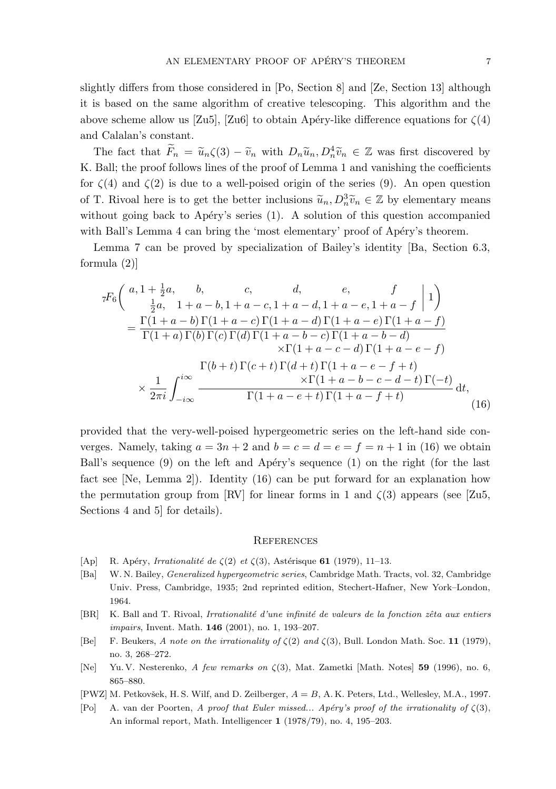slightly differs from those considered in [Po, Section 8] and [Ze, Section 13] although it is based on the same algorithm of creative telescoping. This algorithm and the above scheme allow us [Zu5], [Zu6] to obtain Apéry-like difference equations for  $\zeta(4)$ and Calalan's constant.

The fact that  $\widetilde{F}_n = \widetilde{u}_n \zeta(3) - \widetilde{v}_n$  with  $D_n \widetilde{u}_n, D_n^4 \widetilde{v}_n \in \mathbb{Z}$  was first discovered by K. Ball; the proof follows lines of the proof of Lemma 1 and vanishing the coefficients for  $\zeta(4)$  and  $\zeta(2)$  is due to a well-poised origin of the series (9). An open question of T. Rivoal here is to get the better inclusions  $\tilde{u}_n, D_n^3 \tilde{v}_n \in \mathbb{Z}$  by elementary means without going back to Apéry's series  $(1)$ . A solution of this question accompanied with Ball's Lemma 4 can bring the 'most elementary' proof of Apéry's theorem.

Lemma 7 can be proved by specialization of Bailey's identity [Ba, Section 6.3, formula (2)]

$$
{}_{7}F_{6}\left(\begin{array}{cc} a, 1+\frac{1}{2}a, & b, & c, & d, & e, & f\\ \frac{1}{2}a, & 1+a-b, 1+a-c, 1+a-d, 1+a-e, 1+a-f & 1 \end{array}\right) = \frac{\Gamma(1+a-b)\Gamma(1+a-c)\Gamma(1+a-d)\Gamma(1+a-e)\Gamma(1+a-f)}{\Gamma(1+a)\Gamma(b)\Gamma(c)\Gamma(d)\Gamma(1+a-b-c)\Gamma(1+a-b-d)} \times \Gamma(1+a-c-d)\Gamma(1+a-e-f) \times \frac{\Gamma(b+t)\Gamma(c+t)\Gamma(d+t)\Gamma(1+a-e-f+t)}{\times\Gamma(1+a-b-c-d-t)\Gamma(-t)} \times \frac{1}{2\pi i}\int_{-i\infty}^{i\infty} \frac{\Gamma(1+a-e+t)\Gamma(1+a-f+t)}{\Gamma(1+a-e+t)\Gamma(1+a-f+t)} dt,
$$
\n(16)

provided that the very-well-poised hypergeometric series on the left-hand side converges. Namely, taking  $a = 3n + 2$  and  $b = c = d = e = f = n + 1$  in (16) we obtain Ball's sequence  $(9)$  on the left and Apéry's sequence  $(1)$  on the right (for the last fact see [Ne, Lemma 2]). Identity (16) can be put forward for an explanation how the permutation group from [RV] for linear forms in 1 and  $\zeta(3)$  appears (see [Zu5, Sections 4 and 5] for details).

#### **REFERENCES**

- [Ap] R. Apéry, Irrationalité de  $\zeta(2)$  et  $\zeta(3)$ , Astérisque 61 (1979), 11–13.
- [Ba] W. N. Bailey, Generalized hypergeometric series, Cambridge Math. Tracts, vol. 32, Cambridge Univ. Press, Cambridge, 1935; 2nd reprinted edition, Stechert-Hafner, New York–London, 1964.
- [BR] K. Ball and T. Rivoal, Irrationalité d'une infinité de valeurs de la fonction zêta aux entiers impairs, Invent. Math. **146** (2001), no. 1, 193-207.
- [Be] F. Beukers, A note on the irrationality of  $\zeta(2)$  and  $\zeta(3)$ , Bull. London Math. Soc. 11 (1979), no. 3, 268–272.
- [Ne] Yu. V. Nesterenko, A few remarks on  $\zeta(3)$ , Mat. Zametki [Math. Notes] 59 (1996), no. 6, 865–880.
- [PWZ] M. Petkovšek, H. S. Wilf, and D. Zeilberger,  $A = B$ , A. K. Peters, Ltd., Wellesley, M.A., 1997.
- [Po] A. van der Poorten, A proof that Euler missed... Apéry's proof of the irrationality of  $\zeta(3)$ , An informal report, Math. Intelligencer 1 (1978/79), no. 4, 195–203.